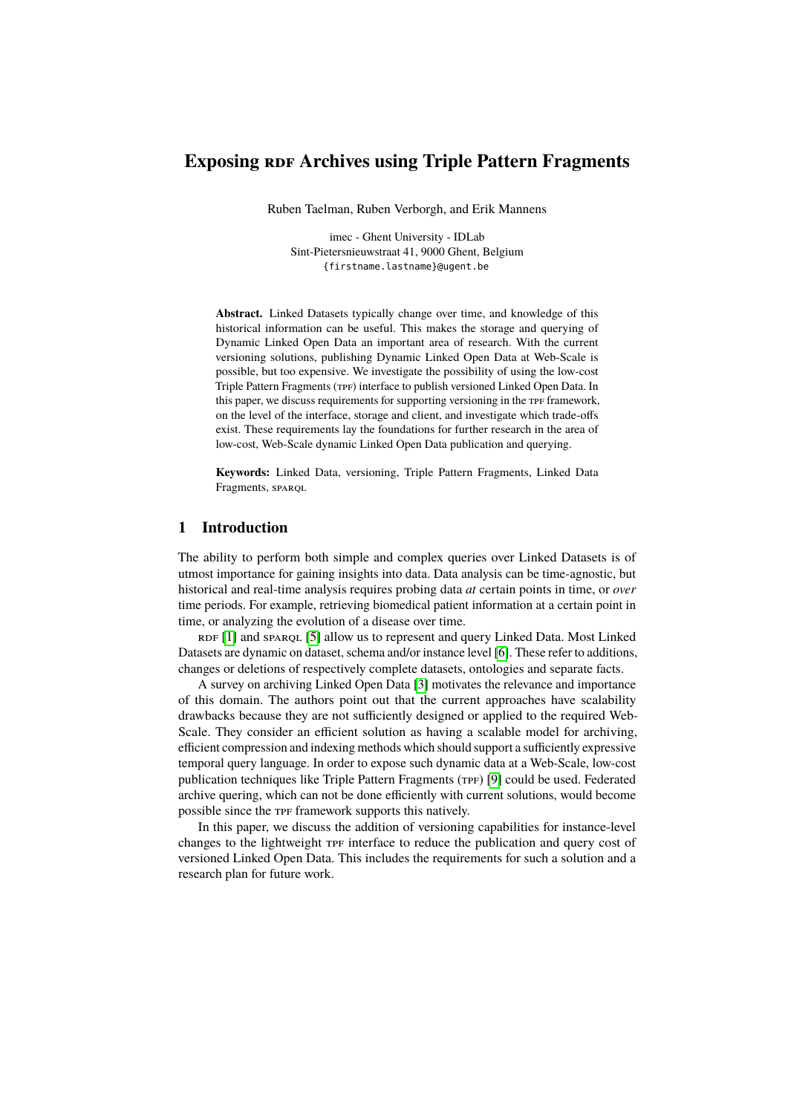# **Exposing RDF Archives using Triple Pattern Fragments**

Ruben Taelman, Ruben Verborgh, and Erik Mannens

imec - Ghent University - IDLab Sint-Pietersnieuwstraat 41, 9000 Ghent, Belgium {firstname.lastname}@ugent.be

**Abstract.** Linked Datasets typically change over time, and knowledge of this historical information can be useful. This makes the storage and querying of Dynamic Linked Open Data an important area of research. With the current versioning solutions, publishing Dynamic Linked Open Data at Web-Scale is possible, but too expensive. We investigate the possibility of using the low-cost Triple Pattern Fragments (TPF) interface to publish versioned Linked Open Data. In this paper, we discuss requirements for supporting versioning in the TPF framework, on the level of the interface, storage and client, and investigate which trade-offs exist. These requirements lay the foundations for further research in the area of low-cost, Web-Scale dynamic Linked Open Data publication and querying.

**Keywords:** Linked Data, versioning, Triple Pattern Fragments, Linked Data Fragments, SPAROL

## **1 Introduction**

The ability to perform both simple and complex queries over Linked Datasets is of utmost importance for gaining insights into data. Data analysis can be time-agnostic, but historical and real-time analysis requires probing data *at* certain points in time, or *over* time periods. For example, retrieving biomedical patient information at a certain point in time, or analyzing the evolution of a disease over time.

RDF [\[1\]](#page-3-0) and SPARQL [\[5\]](#page-3-1) allow us to represent and query Linked Data. Most Linked Datasets are dynamic on dataset, schema and/or instance level [\[6\]](#page-3-2). These refer to additions, changes or deletions of respectively complete datasets, ontologies and separate facts.

A survey on archiving Linked Open Data [\[3\]](#page-3-3) motivates the relevance and importance of this domain. The authors point out that the current approaches have scalability drawbacks because they are not sufficiently designed or applied to the required Web-Scale. They consider an efficient solution as having a scalable model for archiving, efficient compression and indexing methods which should support a sufficiently expressive temporal query language. In order to expose such dynamic data at a Web-Scale, low-cost publication techniques like Triple Pattern Fragments (tpf) [\[9\]](#page-3-4) could be used. Federated archive quering, which can not be done efficiently with current solutions, would become possible since the TPF framework supports this natively.

In this paper, we discuss the addition of versioning capabilities for instance-level changes to the lightweight  $TF$  interface to reduce the publication and query cost of versioned Linked Open Data. This includes the requirements for such a solution and a research plan for future work.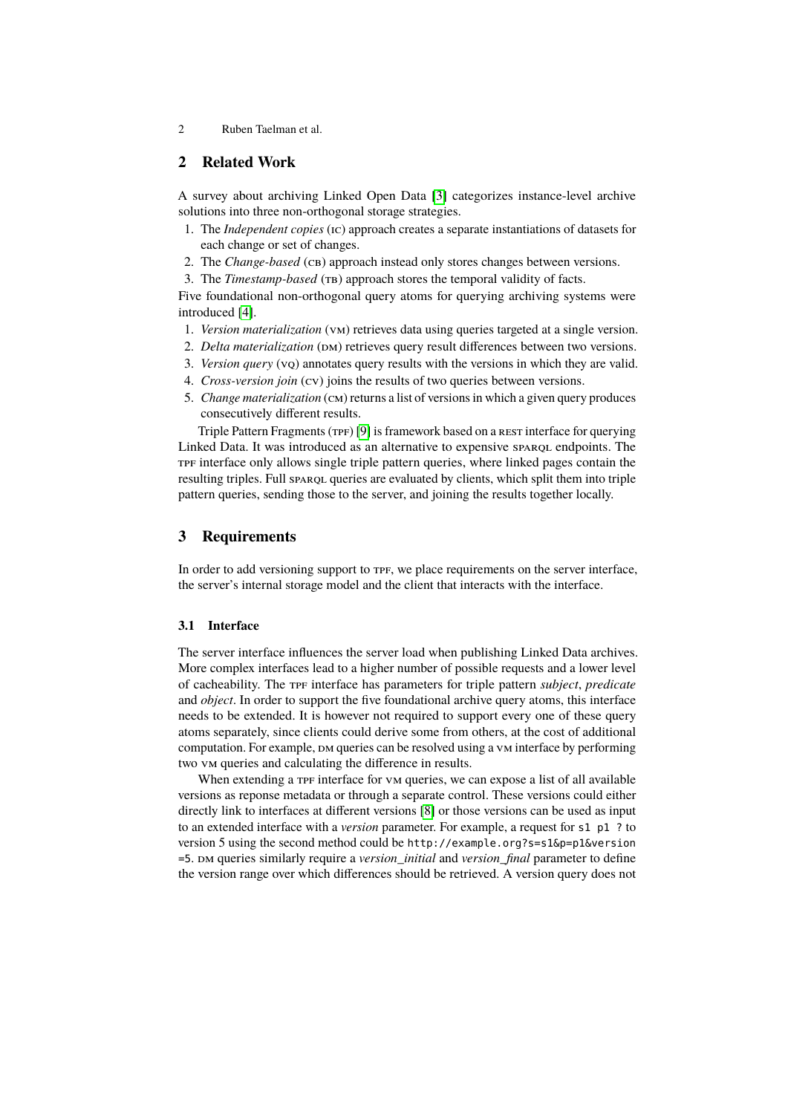2 Ruben Taelman et al.

## **2 Related Work**

A survey about archiving Linked Open Data [\[3\]](#page-3-3) categorizes instance-level archive solutions into three non-orthogonal storage strategies.

- 1. The *Independent copies* (ic) approach creates a separate instantiations of datasets for each change or set of changes.
- 2. The *Change-based* (CB) approach instead only stores changes between versions.
- 3. The *Timestamp-based* (TB) approach stores the temporal validity of facts.

Five foundational non-orthogonal query atoms for querying archiving systems were introduced [\[4\]](#page-3-5).

- 1. *Version materialization* (vm) retrieves data using queries targeted at a single version.
- 2. *Delta materialization* (DM) retrieves query result differences between two versions.
- 3. *Version query* (vq) annotates query results with the versions in which they are valid.
- 4. *Cross-version join* (cv) joins the results of two queries between versions.
- 5. *Change materialization* (cm) returns a list of versions in which a given query produces consecutively different results.

Triple Pattern Fragments (TPF) [\[9\]](#page-3-4) is framework based on a rest interface for querying Linked Data. It was introduced as an alternative to expensive sparqu endpoints. The TPF interface only allows single triple pattern queries, where linked pages contain the resulting triples. Full sparce queries are evaluated by clients, which split them into triple pattern queries, sending those to the server, and joining the results together locally.

## **3 Requirements**

In order to add versioning support to  $TF$ , we place requirements on the server interface, the server's internal storage model and the client that interacts with the interface.

#### **3.1 Interface**

The server interface influences the server load when publishing Linked Data archives. More complex interfaces lead to a higher number of possible requests and a lower level of cacheability. The tpf interface has parameters for triple pattern *subject*, *predicate* and *object*. In order to support the five foundational archive query atoms, this interface needs to be extended. It is however not required to support every one of these query atoms separately, since clients could derive some from others, at the cost of additional computation. For example,  $DM$  queries can be resolved using a vm interface by performing two vm queries and calculating the difference in results.

When extending a the interface for vm queries, we can expose a list of all available versions as reponse metadata or through a separate control. These versions could either directly link to interfaces at different versions [\[8\]](#page-3-6) or those versions can be used as input to an extended interface with a *version* parameter. For example, a request for s1 p1 ? to version 5 using the second method could be http://example.org?s=s1&p=p1&version =5. dm queries similarly require a *version\_initial* and *version\_final* parameter to define the version range over which differences should be retrieved. A version query does not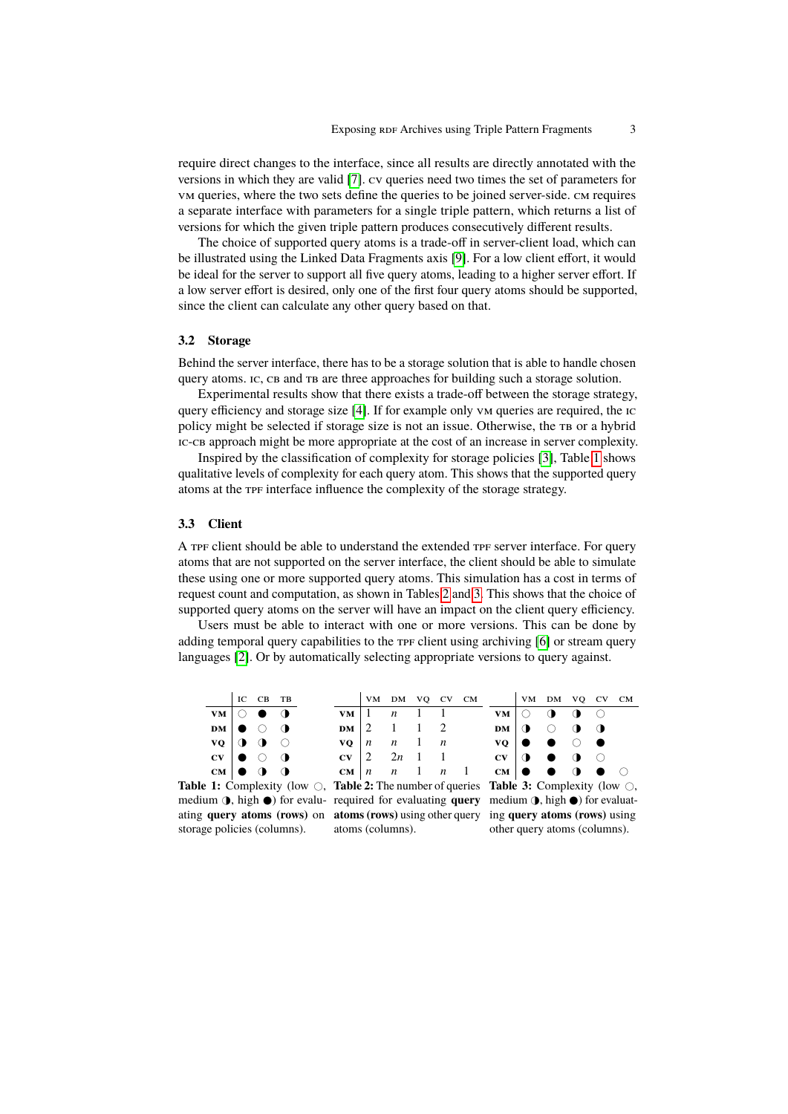require direct changes to the interface, since all results are directly annotated with the versions in which they are valid [\[7\]](#page-3-7). cv queries need two times the set of parameters for vm queries, where the two sets define the queries to be joined server-side. cm requires a separate interface with parameters for a single triple pattern, which returns a list of versions for which the given triple pattern produces consecutively different results.

The choice of supported query atoms is a trade-off in server-client load, which can be illustrated using the Linked Data Fragments axis [\[9\]](#page-3-4). For a low client effort, it would be ideal for the server to support all five query atoms, leading to a higher server effort. If a low server effort is desired, only one of the first four query atoms should be supported, since the client can calculate any other query based on that.

#### **3.2 Storage**

Behind the server interface, there has to be a storage solution that is able to handle chosen query atoms. ic, cb and tb are three approaches for building such a storage solution.

Experimental results show that there exists a trade-off between the storage strategy, query efficiency and storage size [\[4\]](#page-3-5). If for example only vm queries are required, the ic policy might be selected if storage size is not an issue. Otherwise, the TB or a hybrid ic-cb approach might be more appropriate at the cost of an increase in server complexity.

Inspired by the classification of complexity for storage policies [\[3\]](#page-3-3), Table [1](#page-2-0) shows qualitative levels of complexity for each query atom. This shows that the supported query atoms at the tpf interface influence the complexity of the storage strategy.

#### **3.3 Client**

A TPF client should be able to understand the extended TPF server interface. For query atoms that are not supported on the server interface, the client should be able to simulate these using one or more supported query atoms. This simulation has a cost in terms of request count and computation, as shown in Tables [2](#page-2-0) and [3.](#page-2-0) This shows that the choice of supported query atoms on the server will have an impact on the client query efficiency.

Users must be able to interact with one or more versions. This can be done by adding temporal query capabilities to the  $\tau$ PF client using archiving  $[6]$  or stream query languages [\[2\]](#page-3-8). Or by automatically selecting appropriate versions to query against.

<span id="page-2-0"></span>

|                        | IC                                                                                                                              | $CB$ TB                     |  |                                                                                                                                                                                            |               | VM DM VO CV CM   |                     |  |  |  |                                                                                                                                  |  | VM DM VQ CV CM |  |           |  |
|------------------------|---------------------------------------------------------------------------------------------------------------------------------|-----------------------------|--|--------------------------------------------------------------------------------------------------------------------------------------------------------------------------------------------|---------------|------------------|---------------------|--|--|--|----------------------------------------------------------------------------------------------------------------------------------|--|----------------|--|-----------|--|
| <b>VM</b>              |                                                                                                                                 |                             |  |                                                                                                                                                                                            | $VM$   $1$    |                  | $n \quad 1 \quad 1$ |  |  |  | VM                                                                                                                               |  |                |  |           |  |
| <b>DM</b>              |                                                                                                                                 |                             |  |                                                                                                                                                                                            | $DM \mid 2$   |                  |                     |  |  |  | DM                                                                                                                               |  |                |  | $\bullet$ |  |
| VQ                     |                                                                                                                                 | $\bullet$ $\bullet$ $\circ$ |  |                                                                                                                                                                                            | VO –          | $\boldsymbol{n}$ | $n \quad 1 \quad n$ |  |  |  | $\mathbf{v}\mathbf{o}$                                                                                                           |  |                |  |           |  |
| $\mathbf{C}\mathbf{V}$ |                                                                                                                                 |                             |  |                                                                                                                                                                                            | $CV$ 2 2n 1 1 |                  |                     |  |  |  | $CV \mid \mathbf{0}$                                                                                                             |  |                |  |           |  |
| $CM$ 0 0               |                                                                                                                                 |                             |  |                                                                                                                                                                                            |               |                  |                     |  |  |  | $\mathbf{CM} \begin{bmatrix} n & n & 1 & n & 1 \end{bmatrix}$ $\mathbf{CM} \begin{bmatrix} 0 & 0 & 0 \end{bmatrix}$ $\mathbf{O}$ |  |                |  |           |  |
|                        | <b>Table 1:</b> Complexity (low $\bigcirc$ , <b>Table 2:</b> The number of queries <b>Table 3:</b> Complexity (low $\bigcirc$ , |                             |  |                                                                                                                                                                                            |               |                  |                     |  |  |  |                                                                                                                                  |  |                |  |           |  |
|                        |                                                                                                                                 |                             |  | $\mathbf{u} = \mathbf{u} + \mathbf{v} + \mathbf{v}$ , and $\mathbf{u} = \mathbf{v} + \mathbf{v}$ , and $\mathbf{u} = \mathbf{v} + \mathbf{v}$ , and $\mathbf{v} = \mathbf{v} + \mathbf{v}$ |               |                  |                     |  |  |  |                                                                                                                                  |  |                |  |           |  |

medium **()**, high  $\bullet$  for evalu- required for evaluating **query** medium **()**, high  $\bullet$  for evaluatating **query atoms (rows)** on **atoms (rows)** using other query ing **query atoms (rows)** using storage policies (columns).

atoms (columns).

**Table 3:** Complexity (low  $\bigcirc$ , other query atoms (columns).